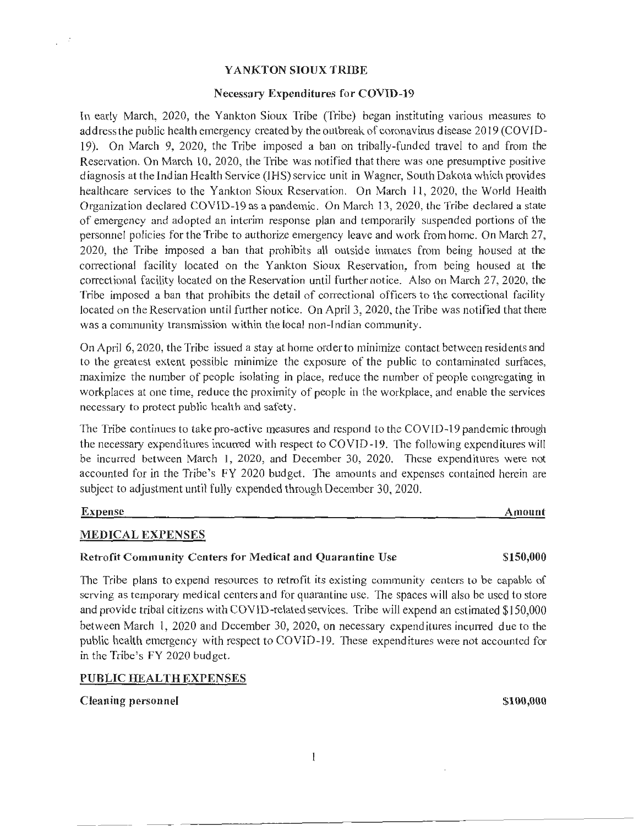### YANKTON SIOUX TRIBE

### Necessary Expenditures for COVID-19

In early March, 2020, the Yankton Sioux Tribe (Tribe) began instituting various measures to address the public health emergency created by the outbreak of coronavirus disease 2019 (COYID-19). On March 9, 2020, the Tribe imposed a ban on tribally-funded travel to and from the Reservation. On March 10, 2020, the Tribe was notified that there was one presumptive positive diagnosis at the Indian Health Service (1HS) service unit in Wagner, South Dakota which provides healthcare services to the Yankton Sioux Reservation. On March 11, 2020, the World Health Organization declared COV ID-19 as a pandemic. On March 13, 2020, the Tribe declared a state of emergency and adopted an interim response plan and temporarily suspended portions of the personnel policies for the Tribe to authorize emergency leave and work from home. On March 27, 2020, the Tribe imposed a ban that prohibits all outside inmates from being housed at the correctional facility located on the Yankton Sioux Reservation, from being housed at the correctional facility located on the Reservation until further notice. Also on March 27, 2020, the Tribe imposed a ban that prohibits the detail of correctional officers to the correctional facility located on the Reservation until further notice. On April 3, 2020, the Tribe was notified that there was a conununity transmission within the local non-Indian community.

On April 6, 2020, the Tribe issued a stay at home order to minimize contact between residents and to the greatest extent possible minimize the exposure of the public to contaminated surfaces, maximize the number of people isolating in place, reduce the number of people congregating in workplaces at one time, reduce the proximity of people in the workplace, and enable the services necessary to protect public health and safety.

The Tribe continues to take pro-active measures and respond to the COVID-19 pandemic through the necessary expenditures incurred with respect to COVID-19. The following expenditures will be incurred between March 1, 2020, and December 30, 2020. These expenditures were not accounted for in the Tribe's FY 2020 budget. The amounts and expenses contained herein are subject to adjustment until fully expended through December 30, 2020.

 $\frac{1}{2}$  ,  $\frac{1}{2}$ 

### Expense Amount

### MEDICAL EXPENSES

### Retrofit Community Centers for Medical and Quarantine Use \$150,000

The Tribe plans to expend resources to retrofit its existing community centers to be capable of serving as temporary medical centers and for quarantine use. The spaces will also be used to store and provide tribal citizens with CO YID-related services. Tribe will expend an estimated \$150,000 between March 1, 2020 and December 30, 2020, on necessary expenditures incurred due to the public health emergency with respect to COVID -19. These expenditures were not accounted for in the Tribe's FY 2020 budget.

### PUBLIC HEALTH EXPENSES

### Cleaning personnel  $$100,000$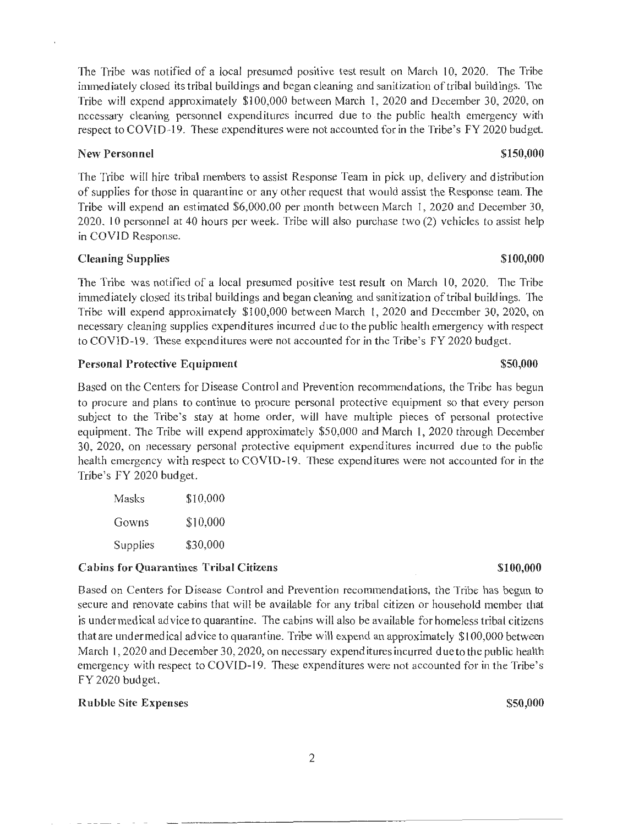The Tribe was notified of a local presumed positive test result on March 10, 2020. The Tribe immed iately closed its tribal buildings and began cleaning and sanitization of tribal buildings. The Tribe will expend approximately \$100,000 between March 1, 2020 and December 30, 2020, on necessary cleaning personnel expenditures incurred due to the public health emergency with respect to COVID-19. These expenditures were not accounted for in the Tribe's FY 2020 budget.

# New Personnel  $$150,000$

The Tribe will hire tribal members to assist Response Team in pick up, delivery and distribution of supplies for those in quarantine or any other request that would assist the Response team. The Tribe will expend an estimated \$6,000.00 per month between March I, 2020 and December 30,  $2020. 10$  personnel at 40 hours per week. Tribe will also purchase two  $(2)$  vehicles to assist help in COVID Response.

# Cleaning Supplies  $$100,000$

The Tribe was notified of a local presumed positive test result on March 10, 2020. The Tribe immediately closed its tribal buildings and began cleaning and sanitization of tribal buildings. The Tribe will expend approximately \$100,000 between March 1, 2020 and December 30, 2020, on necessary cleaning supplies expenditures incurred due to the public health emergency with respect to COVID-19. These expenditures were not accounted for in the Tribe's FY 2020 budget.

# Personal Protective Equipment  $$50,000$

Based on the Centers for Disease Control and Prevention recommendations, the Tribe has begun to procure and plans to continue to procure personal protective equipment so that every person subject to the Tribe's stay at home order, will have multiple pieces of personal protective equipment. The Tribe will expend approximately \$50,000 and March 1, 2020 through December 30, 2020, on necessary personal protective equipment expenditures incurred due to the public health emergency with respect to COVID-19. These expenditures were not accounted for in the Tribe's FY 2020 budget.

| Masks    | \$10,000 |
|----------|----------|
| Gowns    | \$10,000 |
| Supplies | \$30,000 |

### Cabins for Quarantines Tribal Citizens \$100,000

Based on Centers for Disease Control and Prevention recommendations, the Tribe has begun to secure and renovate cabins that will be available for any tribal citizen or household member that is under medical ad vice to quarantine. The cabins will also be available for homeless tribal citizens that are under medical advice to quarantine. Tribe will expend an approximately \$100,000 between March I, 2020 and December 30, 2020, on necessary expenditures incurred due to the public health emergency with respect to COVID-19. These expenditures were not accounted for in the Tribe's FY 2020 budget.

### Rubble Site Expenses  $$50,000$

# 2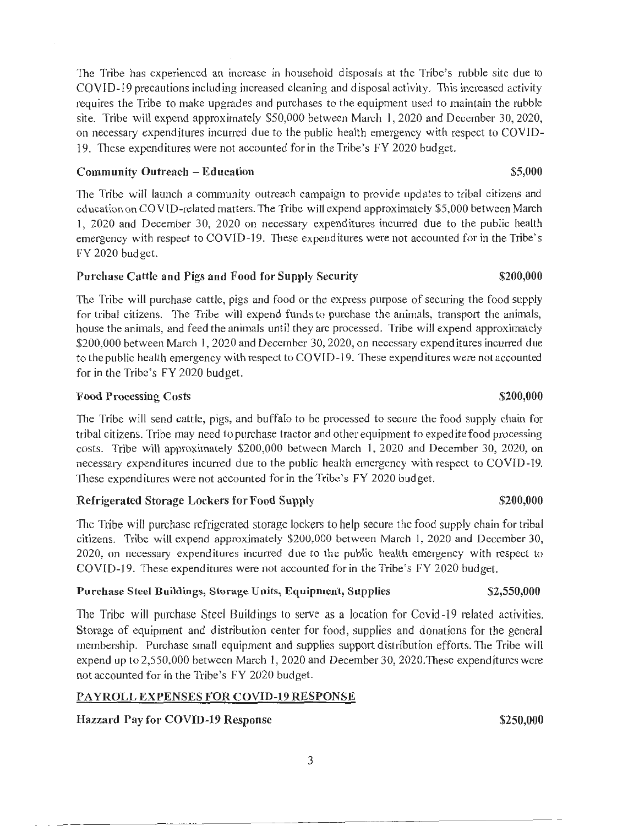The Tribe has experienced an increase in household disposals at the Tribe's rubble site due to COVID-19 precautions including increased cleaning and disposal activity. This increased activity requires the Tribe to make upgrades and purchases to the equipment used to maintain the rubble site. Tribe will expend approximately \$50,000 between March 1, 2020 and December 30, 2020, on necessaiy expenditures incurred due to the public health emergency with respect to COVID-19. These expenditures were not accounted for in the Tribe's FY 2020 budget.

### Community Outreach – Education  $$5,000$

The Tribe will launch a community outreach campaign to provide updates to tribal citizens and ed ucation on COVID-related matters. The Tribe will expend approximately \$5,000 between March 1, 2020 and December 30, 2020 on necessary expenditures incurred due to the public health emergency with respect to COVID-19. These expenditures were not accounted for in the Tribe's FY 2020 budget.

# Purchase Cattle and Pigs and Food for Supply Security  $$200,000$

111e Tribe will purchase cattle, pigs and food or the express purpose of securing the food supply for tribal citizens. The Tribe will expend funds to purchase the animals, transport the animals, house the animals, and feed the animals until they are processed. Tribe will expend approximately \$200,000 between March 1, 2020 and December 30, 2020, on necessary expenditures incurred due to the public health emergency with respect to COVID-19. These expenditures were not accounted for in the Tribe's FY 2020 budget.

# Food Processing Costs  $\sim$  \$200,000

The Tribe will send cattle, pigs, and buffalo to be processed to secure the food supply chain for tribal citizens. Tribe may need to purchase tractor and other equipment to expedite food processing costs. Tribe will approximately \$200,000 between March 1, 2020 and December 30, 2020, on necessary expend itures incurred due to the public health emergency w ith respect to COVID-19. These expenditures were not accounted for in the Tribe's FY 2020 budget.

# Refrigerated Storage Lockers for Food Supply **\$200,000** \$200,000

The Tribe will purchase refrigerated storage lockers to help secure the food supply chain for tribal citizens. Tribe will expend approximately \$200,000 between March I, 2020 and December 30, 2020, on necessary expenditures incurred due to the public health emergency with respect to COVID-19. These expenditures were not accounted for in the Tribe's FY 2020 budget.

### Purchase Steel Buildings, Storage Units, Equipment, Supplies \$2,550,000

The Tribe will purchase Steel Buildings to serve as a location for Covid-19 related activities. Storage of equipment and distribution center for food, supplies and donations for the general membership. Purchase small equipment and supplies support distribution efforts. The Tribe will expend up to 2,550,000 between March 1, 2020 and December 30, 2020.These expenditures were not accounted for in the Tribe's FY 2020 budget.

# PAYROLL EXPENSES FOR COVID-19 RESPONSE

# Hazzard Pay for COVID-19 Response \$250,000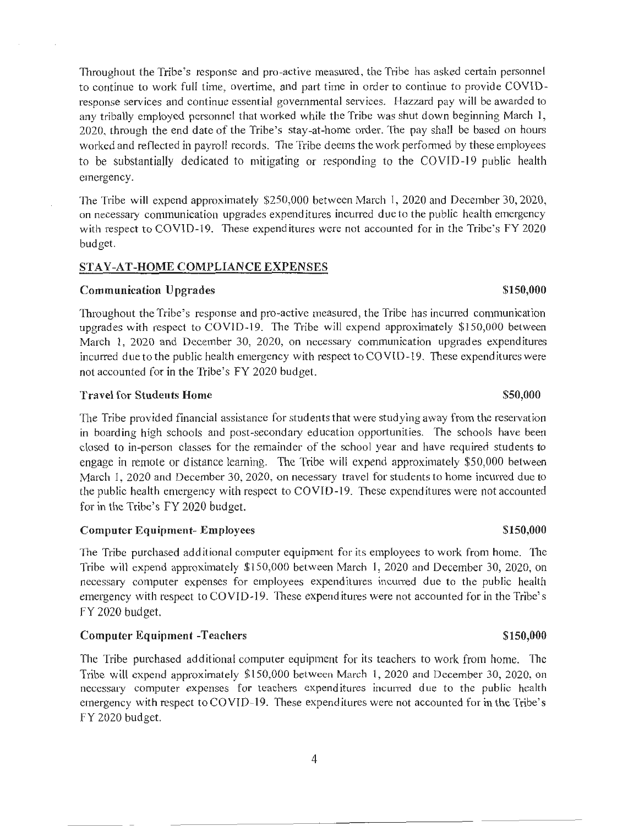Throughout the Tribe's response and pro-active measured, the Tribe has asked certain personnel to continue to work full time, overtime, and part time in order to continue to provide COVIDresponse services and continue essential governmental services. Hazzard pay will be awarded to any tribally employed personnel that worked while the Tribe was shut down beginning March I, 2020, through the end date of the Tribe's stay-at-home order. The pay shall be based on hours worked and reflected in payroll records. The Tribe deems the work performed by these employees to be substantially dedicated to mitigating or responding to the COVID-19 public health emergency.

The Tribe will expend approximately \$250,000 between March 1, 2020 and December 30, 2020, on necessary communication upgrades expenditures incurred due to the public health emergency with respect to COVID-19. These expenditures were not accounted for in the Tribe's FY 2020 budget.

### STAY-AT-HOME COMPLIANCE EXPENSES

# Communication Upgrades  $$150,000$

111roughout the Tribe's response and pro-active measured, the Tribe has incurred communication upgrades with respect to COVID-19. The Tribe will expend approximately \$150,000 between March 1, 2020 and December 30, 2020, on necessary communication upgrades expenditures incurred due to the public health emergency with respect to COVID-19. These expenditures were not accounted for in the Tribe's FY 2020 budget.

### Travel for Students Home  $$50,000$

The Tribe provided financial assistance for students that were studying away from the reservation in boarding high schools and post-secondary education opportunities. The schools have been closed to in-person classes for the remainder of the school year and have required students to engage in remote or distance learning. The Tribe will expend approximately \$50,000 between March 1, 2020 and December 30, 2020, on necessary travel for students to home incurred due to the public health emergency with respect to COVID-19. These expenditures were not accounted for in the Tribe's FY 2020 budget.

### Computer Equipment- Employees  $$150,000$

The Tribe purchased additional computer equipment for its employees to work from home. The Tribe will expend approximately \$150,000 between March 1, 2020 and December 30, 2020, on necessary computer expenses for employees expenditures incurred due to the public health emergency with respect to COVID-19. These expenditures were not accounted for in the Tribe's FY 2020 budget.

### Computer Equipment -Teachers \$150,000

The Tribe purchased additional computer equipment for its teachers to work from home. The Tribe will expend approximately \$150,000 between March 1, 2020 and December 30, 2020, on necessary computer expenses for teachers expenditures incurred due to the public health emergency with respect to COYID-19. These expenditures were not accounted for in the Tribe's FY 2020 budget.

### 4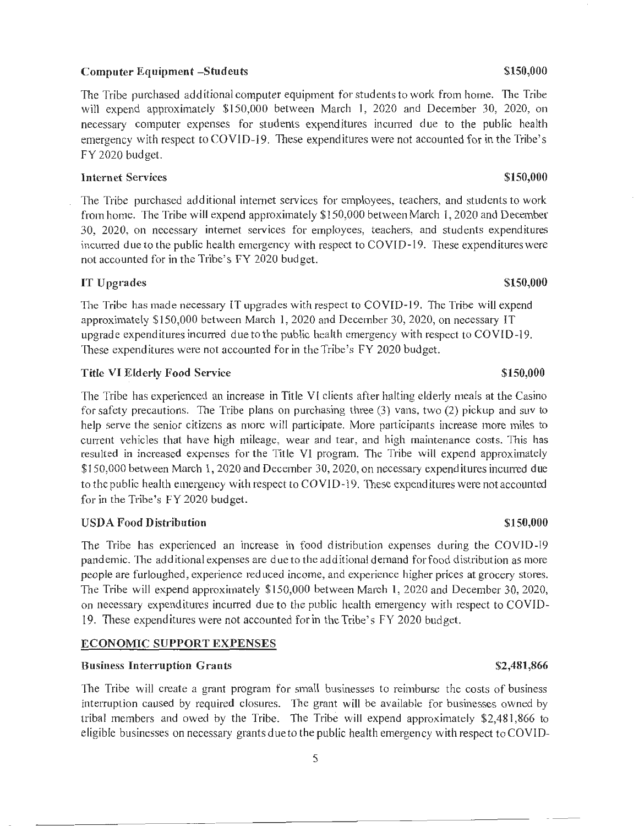### Computer Equipment -Students  $\sim$  \$150,000

The Tribe purchased additional computer equipment for students to work from home. The Tribe will expend approximately \$150,000 between March 1, 2020 and December 30, 2020, on necessary computer expenses for students expenditures incurred due to the public health emergency with respect to COVID-19. These expenditures were not accounted for in the Tribe's FY 2020 budget.

### Internet Services \$150,000

The Tribe purchased additional internet services for employees, teachers, and students to work from home. The Tribe will expend approximately \$150,000 between March I, 2020 and December 30, 2020, on necessary internet services for employees, teachers, and students expenditures incurred due to the public health emergency with respect to COVID-19. These expenditures were not accounted for in the Tribe's FY 2020 budget.

### IT Upgrades  $$150,000$

The Tribe has made necessary IT upgrades with respect to COVID-19. The Tribe will expend approximately  $$150,000$  between March 1, 2020 and December 30, 2020, on necessary IT upgrade expenditures incurred due to the public health emergency with respect to COY! D-19. These expenditures were not accounted for in the Tribe's FY 2020 budget.

### Title VI Elderly Food Service  $$150,000$

The Tribe has experienced an increase in Title VI clients after halting elderly meals at the Casino for safety precautions. The Tribe plans on purchasing three (3) vans, two (2) pickup and suv to help serve the senior citizens as more will participate. More participants increase more miles to current vehicles that have high mileage, wear and tear, and high maintenance costs. This has resulted in increased expenses for the Title VI program. The Tribe will expend approximately  $$150,000$  between March 1, 2020 and December 30, 2020, on necessary expenditures incurred due to the public health emergency with respect to  $COVID-19$ . These expenditures were not accounted for in the Tribe's FY 2020 budget.

### USDA Food Distribution  $$150,000$

The Tribe has experienced an increase in food distribution expenses during the COVID-19 pandemic. The additional expenses are due to the additional demand for food distribution as more people are furloughed, experience reduced income, and experience higher prices at grocery stores. The Tribe will expend approximately \$150,000 between March 1, 2020 and December 30, 2020, on necessary expenditures incurred due to the public health emergency with respect to COVID-19. These expenditures were not accounted for in the Tribe's FY 2020 bud get.

### ECONOMIC SUPPORT EXPENSES

### Business Interruption Grants  $$2,481,866$

The Tribe will create a grant program for small businesses to reimburse the costs of business interruption caused by required closures. The grant will be available for businesses owned by tribal members and owed by the Tribe. The Tribe will expend approximately \$2,481,866 to eligible businesses on necessary grants due to the public health emergency with respect to COVID-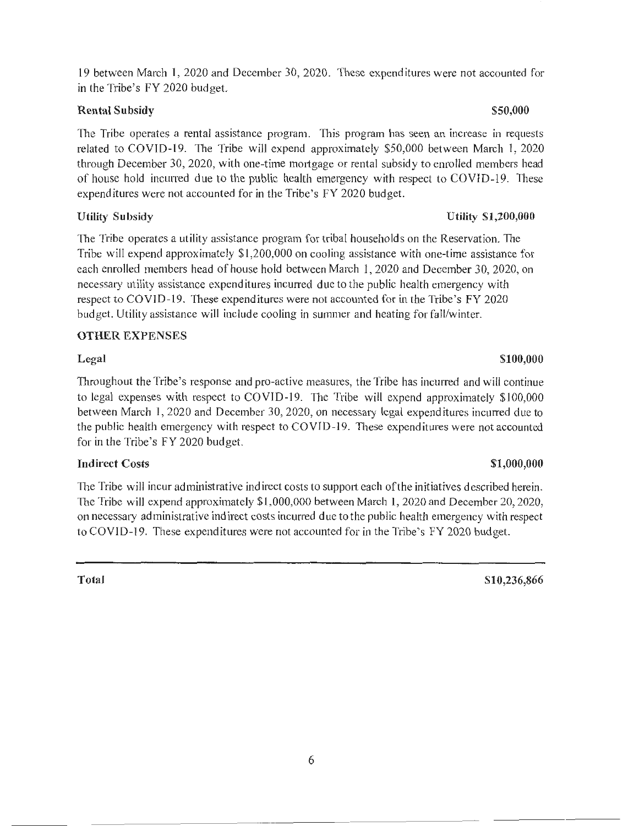19 between March 1, 2020 and December 30, 2020. These expenditures were not accounted for in the Tribe's FY 2020 budget.

# Rental Subsidy \$50,000

The Tribe operates a rental assistance program. This program has seen an increase in requests related to COVID-19. The Tribe will expend approximately \$50,000 between March 1, 2020 through December 30, 2020, with one-time mortgage or rental subsidy to enrolled members head of house hold incurred due to the public health emergency with respect to COVID-19. These expenditures were not accounted for in the Tribe 's FY 2020 budget.

The Tribe operates a utility assistance program for tribal households on the Reservation. The Tribe will expend approximately \$1,200,000 on cooling assistance with one-time assistance for each enrolled members head of house hold between March 1, 2020 and December 30, 2020, on necessary utility assistance expenditures incurred due to the public health emergency with respect to COVID-19. These expenditures were not accounted for in the Tribe's FY 2020 budget. Utility assistance will include cooling in summer and heating for fall/winter.

# OTHER EXPENSES

Throughout the Tribe's response and pro-active measures, the Tribe has incurred and will continue to legal expenses with respect to COVID-19. The Tribe will expend approximately \$100,000 between March 1, 2020 and December 30, 2020, on necessary legal expenditures incurred due to the public health emergency with respect to COVf0 -19. These expend itures were not accounted for in the Tribe's FY 2020 budget.

# Indirect Costs  $$1,000,000$

The Tribe will incur administrative indirect costs to support each of the initiatives described herein. The Tribe will expend approximately  $$1,000,000$  between March 1, 2020 and December 20, 2020, on necessary ad ministrative indirect costs incurred due to the public health emergency with respect to COVID-19. These expenditures were not accounted for in the Tribe's FY 2020 budget.

# Utility Subsidy Utility Subsidy Utility Subsidy Utility Subsidirection and the Utility Subsidirection of the U

# $\text{Legal}$   $$100,000$

# Total S10,236,866